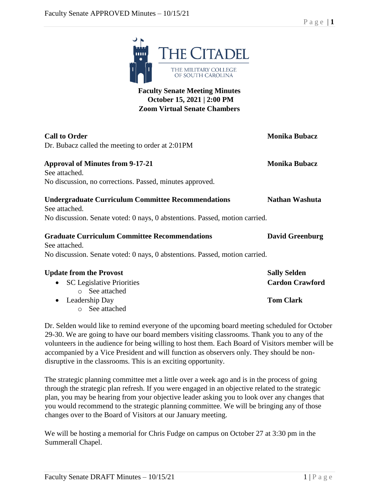

## **Faculty Senate Meeting Minutes October 15, 2021 | 2:00 PM Zoom Virtual Senate Chambers**

| <b>Call to Order</b>                                                        | <b>Monika Bubacz</b>   |
|-----------------------------------------------------------------------------|------------------------|
| Dr. Bubacz called the meeting to order at 2:01PM                            |                        |
| <b>Approval of Minutes from 9-17-21</b>                                     | <b>Monika Bubacz</b>   |
| See attached.                                                               |                        |
| No discussion, no corrections. Passed, minutes approved.                    |                        |
| <b>Undergraduate Curriculum Committee Recommendations</b><br>See attached.  | <b>Nathan Washuta</b>  |
| No discussion. Senate voted: 0 nays, 0 abstentions. Passed, motion carried. |                        |
| <b>Graduate Curriculum Committee Recommendations</b><br>See attached.       | <b>David Greenburg</b> |
| No discussion. Senate voted: 0 nays, 0 abstentions. Passed, motion carried. |                        |
| <b>Update from the Provost</b>                                              | <b>Sally Selden</b>    |
| • SC Legislative Priorities                                                 | <b>Cardon Crawford</b> |
| o See attached                                                              |                        |
| • Leadership Day                                                            | <b>Tom Clark</b>       |

o See attached

Dr. Selden would like to remind everyone of the upcoming board meeting scheduled for October 29-30. We are going to have our board members visiting classrooms. Thank you to any of the volunteers in the audience for being willing to host them. Each Board of Visitors member will be accompanied by a Vice President and will function as observers only. They should be nondisruptive in the classrooms. This is an exciting opportunity.

The strategic planning committee met a little over a week ago and is in the process of going through the strategic plan refresh. If you were engaged in an objective related to the strategic plan, you may be hearing from your objective leader asking you to look over any changes that you would recommend to the strategic planning committee. We will be bringing any of those changes over to the Board of Visitors at our January meeting.

We will be hosting a memorial for Chris Fudge on campus on October 27 at 3:30 pm in the Summerall Chapel.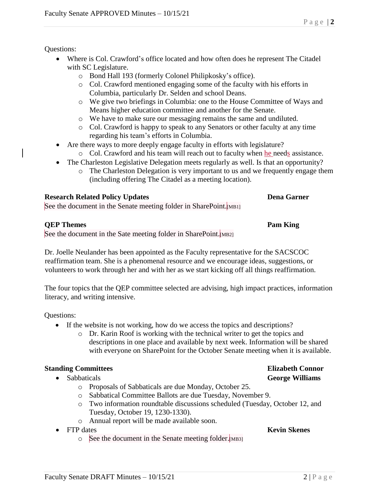Questions:

- Where is Col. Crawford's office located and how often does he represent The Citadel with SC Legislature.
	- o Bond Hall 193 (formerly Colonel Philipkosky's office).
	- o Col. Crawford mentioned engaging some of the faculty with his efforts in Columbia, particularly Dr. Selden and school Deans.
	- o We give two briefings in Columbia: one to the House Committee of Ways and Means higher education committee and another for the Senate.
	- o We have to make sure our messaging remains the same and undiluted.
	- o Col. Crawford is happy to speak to any Senators or other faculty at any time regarding his team's efforts in Columbia.
- Are there ways to more deeply engage faculty in efforts with legislature?
	- o Col. Crawford and his team will reach out to faculty when he needs assistance.
- The Charleston Legislative Delegation meets regularly as well. Is that an opportunity?
	- o The Charleston Delegation is very important to us and we frequently engage them (including offering The Citadel as a meeting location).

## **Research Related Policy Updates <b>Dena Garner Dena Garner**

See the document in the Senate meeting folder in SharePoint.<sup>[MB1]</sup>

## **QEP Themes Pam King**

See the document in the Sate meeting folder in SharePoint. [MB2]

Dr. Joelle Neulander has been appointed as the Faculty representative for the SACSCOC reaffirmation team. She is a phenomenal resource and we encourage ideas, suggestions, or volunteers to work through her and with her as we start kicking off all things reaffirmation.

The four topics that the QEP committee selected are advising, high impact practices, information literacy, and writing intensive.

Questions:

- If the website is not working, how do we access the topics and descriptions?
	- o Dr. Karin Roof is working with the technical writer to get the topics and descriptions in one place and available by next week. Information will be shared with everyone on SharePoint for the October Senate meeting when it is available.

# **Standing Committees Elizabeth Connor**

- Sabbaticals **George Williams**
	- o Proposals of Sabbaticals are due Monday, October 25.
	- o Sabbatical Committee Ballots are due Tuesday, November 9.
	- o Two information roundtable discussions scheduled (Tuesday, October 12, and Tuesday, October 19, 1230-1330).
	- o Annual report will be made available soon.
- FTP dates **Kevin Skenes**
	- o See the document in the Senate meeting folder.[MB3]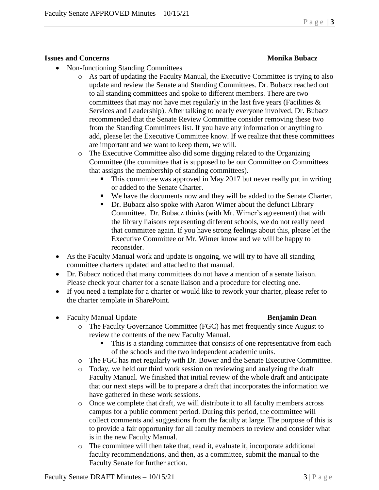### **Issues and Concerns Monika Bubacz**

- Non-functioning Standing Committees
	- o As part of updating the Faculty Manual, the Executive Committee is trying to also update and review the Senate and Standing Committees. Dr. Bubacz reached out to all standing committees and spoke to different members. There are two committees that may not have met regularly in the last five years (Facilities  $\&$ Services and Leadership). After talking to nearly everyone involved, Dr. Bubacz recommended that the Senate Review Committee consider removing these two from the Standing Committees list. If you have any information or anything to add, please let the Executive Committee know. If we realize that these committees are important and we want to keep them, we will.
	- o The Executive Committee also did some digging related to the Organizing Committee (the committee that is supposed to be our Committee on Committees that assigns the membership of standing committees).
		- This committee was approved in May 2017 but never really put in writing or added to the Senate Charter.
		- We have the documents now and they will be added to the Senate Charter.
		- Dr. Bubacz also spoke with Aaron Wimer about the defunct Library Committee. Dr. Bubacz thinks (with Mr. Wimer's agreement) that with the library liaisons representing different schools, we do not really need that committee again. If you have strong feelings about this, please let the Executive Committee or Mr. Wimer know and we will be happy to reconsider.
- As the Faculty Manual work and update is ongoing, we will try to have all standing committee charters updated and attached to that manual.
- Dr. Bubacz noticed that many committees do not have a mention of a senate liaison. Please check your charter for a senate liaison and a procedure for electing one.
- If you need a template for a charter or would like to rework your charter, please refer to the charter template in SharePoint.
- Faculty Manual Update **Benjamin Dean**

- o The Faculty Governance Committee (FGC) has met frequently since August to review the contents of the new Faculty Manual.
	- This is a standing committee that consists of one representative from each of the schools and the two independent academic units.
- o The FGC has met regularly with Dr. Bower and the Senate Executive Committee.
- o Today, we held our third work session on reviewing and analyzing the draft Faculty Manual. We finished that initial review of the whole draft and anticipate that our next steps will be to prepare a draft that incorporates the information we have gathered in these work sessions.
- o Once we complete that draft, we will distribute it to all faculty members across campus for a public comment period. During this period, the committee will collect comments and suggestions from the faculty at large. The purpose of this is to provide a fair opportunity for all faculty members to review and consider what is in the new Faculty Manual.
- o The committee will then take that, read it, evaluate it, incorporate additional faculty recommendations, and then, as a committee, submit the manual to the Faculty Senate for further action.